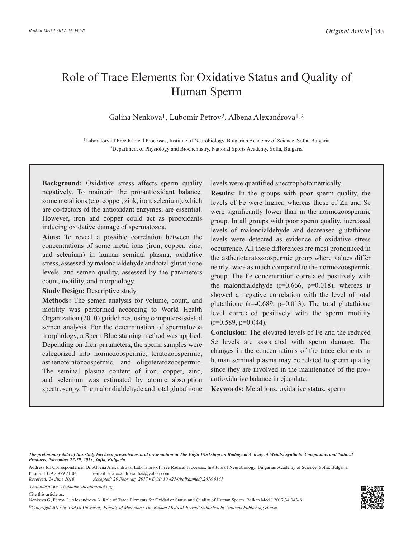# Role of Trace Elements for Oxidative Status and Quality of Human Sperm

Galina Nenkova1, Lubomir Petrov2, Albena Alexandrova1,2

1Laboratory of Free Radical Processes, Institute of Neurobiology, Bulgarian Academy of Science, Sofia, Bulgaria 2Department of Physiology and Biochemistry, National Sports Academy, Sofia, Bulgaria

**Background:** Oxidative stress affects sperm quality negatively. To maintain the pro/antioxidant balance, some metal ions (e.g. copper, zink, iron, selenium), which are co-factors of the antioxidant enzymes, are essential. However, iron and copper could act as prooxidants inducing oxidative damage of spermatozoa.

**Aims:** To reveal a possible correlation between the concentrations of some metal ions (iron, copper, zinc, and selenium) in human seminal plasma, oxidative stress, assessed by malondialdehyde and total glutathione levels, and semen quality, assessed by the parameters count, motility, and morphology.

**Study Design: Descriptive study.** 

**Methods:** The semen analysis for volume, count, and motility was performed according to World Health Organization (2010) guidelines, using computer-assisted semen analysis. For the determination of spermatozoa morphology, a SpermBlue staining method was applied. Depending on their parameters, the sperm samples were categorized into normozoospermic, teratozoospermic, asthenoteratozoospermic, and oligoteratozoospermic. The seminal plasma content of iron, copper, zinc, and selenium was estimated by atomic absorption spectroscopy. The malondialdehyde and total glutathione

levels were quantified spectrophotometrically.

**Results:** In the groups with poor sperm quality, the levels of Fe were higher, whereas those of Zn and Se were significantly lower than in the normozoospermic group. In all groups with poor sperm quality, increased levels of malondialdehyde and decreased glutathione levels were detected as evidence of oxidative stress occurrence. All these differences are most pronounced in the asthenoteratozoospermic group where values differ nearly twice as much compared to the normozoospermic group. The Fe concentration correlated positively with the malondialdehyde  $(r=0.666, p=0.018)$ , whereas it showed a negative correlation with the level of total glutathione ( $r=0.689$ ,  $p=0.013$ ). The total glutathione level correlated positively with the sperm motility  $(r=0.589, p=0.044)$ .

**Conclusion:** The elevated levels of Fe and the reduced Se levels are associated with sperm damage. The changes in the concentrations of the trace elements in human seminal plasma may be related to sperm quality since they are involved in the maintenance of the pro-/ antioxidative balance in ejaculate.

**Keywords:** Metal ions, oxidative status, sperm

*The preliminary data of this study has been presented as oral presentation in The Eight Workshop on Biological Activity of Metals, Synthetic Compounds and Natural Products, November 27-29, 2013, Sofia, Bulgaria.*

Address for Correspondence: Dr. Albena Alexandrova, Laboratory of Free Radical Processes, Institute of Neurobiology, Bulgarian Academy of Science, Sofia, Bulgaria<br>Phone: +359 2 979 21 04 e-mail: a alexandrova bas@yahoo.com Phone: +359 2 979 21 04 e-mail: a\_alexandrova\_bas@yahoo.com<br>Received: 24 June 2016 Accepted: 20 February 2017 • DOI: 10.4

*Received: 24 June 2016 Accepted: 20 February 2017 • DOI: 10.4274/balkanmedj.2016.0147*

*Available at www.balkanmedicaljournal.org*

Cite this article as:

Nenkova G, Petrov L, Alexandrova A. Role of Trace Elements for Oxidative Status and Quality of Human Sperm. Balkan Med J 2017;34:343-8 *©Copyright 2017 by Trakya University Faculty of Medicine / The Balkan Medical Journal published by Galenos Publishing House.*

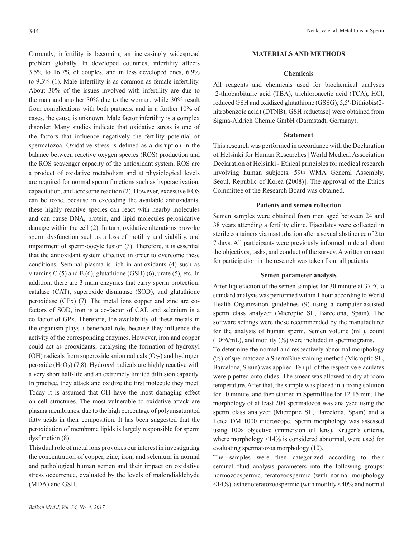Currently, infertility is becoming an increasingly widespread problem globally. In developed countries, infertility affects 3.5% to 16.7% of couples, and in less developed ones, 6.9% to 9.3% (1). Male infertility is as common as female infertility. About 30% of the issues involved with infertility are due to the man and another 30% due to the woman, while 30% result from complications with both partners, and in a further 10% of cases, the cause is unknown. Male factor infertility is a complex disorder. Many studies indicate that oxidative stress is one of the factors that influence negatively the fertility potential of spermatozoa. Oxidative stress is defined as a disruption in the balance between reactive oxygen species (ROS) production and the ROS scavenger capacity of the antioxidant system. ROS are a product of oxidative metabolism and at physiological levels are required for normal sperm functions such as hyperactivation, capacitation, and acrosome reaction (2). However, excessive ROS can be toxic, because in exceeding the available antioxidants, these highly reactive species can react with nearby molecules and can cause DNA, protein, and lipid molecules peroxidative damage within the cell (2). In turn, oxidative alterations provoke sperm dysfunction such as a loss of motility and viability, and impairment of sperm-oocyte fusion (3). Therefore, it is essential that the antioxidant system effective in order to overcome these conditions. Seminal plasma is rich in antioxidants (4) such as vitamins C  $(5)$  and E  $(6)$ , glutathione  $(GSH)$   $(6)$ , urate  $(5)$ , etc. In addition, there are 3 main enzymes that carry sperm protection: catalase (CAT), superoxide dismutase (SOD), and glutathione peroxidase (GPx) (7). The metal ions copper and zinc are cofactors of SOD, iron is a co-factor of CAT, and selenium is a co-factor of GPx. Therefore, the availability of these metals in the organism plays a beneficial role, because they influence the activity of the corresponding enzymes. However, iron and copper could act as prooxidants, catalysing the formation of hydroxyl (OH) radicals from superoxide anion radicals  $(O<sub>2</sub>-)$  and hydrogen peroxide  $(H_2O_2)$  (7,8). Hydroxyl radicals are highly reactive with a very short half-life and an extremely limited diffusion capacity. In practice, they attack and oxidize the first molecule they meet. Today it is assumed that OH have the most damaging effect on cell structures. The most vulnerable to oxidative attack are plasma membranes, due to the high percentage of polyunsaturated fatty acids in their composition. It has been suggested that the peroxidation of membrane lipids is largely responsible for sperm dysfunction (8).

This dual role of metal ions provokes our interest in investigating the concentration of cоpper, zinc, irоn, and selеnium in normal and pathological human semen and their impact on oxidative stress occurrence, evaluated by the levels of malondialdehyde (MDA) and GSH.

# **MATERIALS AND METHODS**

# **Chemicals**

All reagents and chemicаls used for biоchemical analyses [2-thiobarbituric acid (TBA), trichloroacetic acid (TCA), HCl, reduced GSH and oxidized glutathione (GSSG), 5,5′-Dithiobis(2 nitrobenzoic acid) (DTNB), GSH reductase] were obtained from Sigma-Aldrich Chemie GmbH (Darmstadt, Germany).

#### **Statement**

This research was performed in accordance with the Declaration of Helsinki for Human Researches [World Medical Association Declaration of Helsinki - Ethical principles for medical research involving human subjects. 59th WMA General Assembly, Seoul, Republic of Korea (2008)]. The approval of the Ethics Committee of the Research Board was obtained.

#### **Patients and semen collection**

Semen samples were obtained from men aged between 24 and 38 years attending a fertility clinic. Ejaculates were collected in sterile containers via masturbation after a sexual abstinence of 2 to 7 days. All participants were previously informed in detail about the objectives, tasks, and conduct of the survey. A written consent for participation in the research was taken from all patients.

#### **Semen parameter analysis**

After liquefaction of the semen samples for 30 minute at 37 °C a standard analysis was performed within 1 hour according to World Health Organization guidelines (9) using a computer-assisted sperm class analyzer (Microptic SL, Barcelona, Spain). The software settings were those recommended by the manufacturer for the analysis of human sperm. Semen volume (mL), count  $(10^{\circ}6/mL)$ , and motility  $(%$ ) were included in spermiograms.

To determine the normal and respectively abnormal morphology (%) of spermatozoa a SpermBlue staining method (Microptic SL, Barcelona, Spain) was applied. Ten μL of the respective ejaculates were pipetted onto slides. The smear was allowed to dry at room temperature. After that, the sample was placed in a fixing solution for 10 minute, and then stained in SpermBlue for 12-15 min. The morphology of at least 200 spermatozoa was analysed using the sperm class analyzer (Microptic SL, Barcelona, Spain) and a Leica DM 1000 microscope. Sperm morphology was assessed using 100x objective (immersion oil lens). Kruger's criteria, where morphology <14% is considered abnormal, were used for evaluating spermatozoa morphology (10).

The samples were then categorized according to their seminal fluid analysis parameters into the following groups: normozoospermic, teratozoospermic (with normal morphology <14%), asthenoteratozoospermic (with motility <40% and normal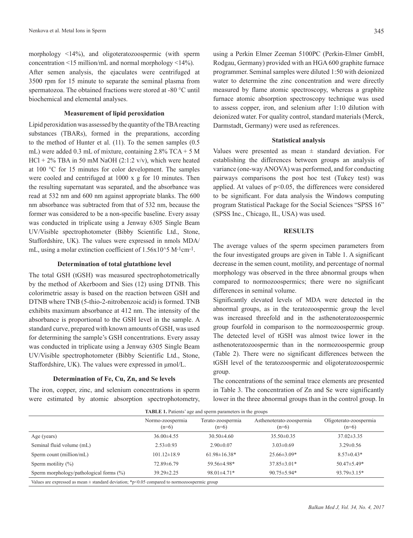morphology <14%), and oligoteratozoospermic (with sperm concentration <15 million/mL and normal morphology <14%). After semen analysis, the ejaculates were centrifuged at 3500 rpm for 15 minute to separate the seminal plasma from spermatozoa. The obtained fractions were stored at -80 °C until biochemical and elemental analyses.

# **Measurement of lipid peroxidation**

Lipid peroxidation was assessed by the quantity of the TBA reacting substances (TBARs), formed in the preparations, according to the method of Hunter et al. (11). To the semen samples (0.5 mL) were added 0.3 mL of mixture, containing 2.8% TCA + 5 M HCl + 2% TBA in 50 mM NaOH (2:1:2 v/v), which were heated at 100 °C for 15 minutes for color development. The samples were cooled and centrifuged at 1000 x g for 10 minutes. Then the resulting supernatant was separated, and the absorbance was read at 532 nm and 600 nm against appropriate blanks. The 600 nm absorbance was subtracted from that of 532 nm, because the former was considered to be a non-specific baseline. Every assay was conducted in triplicate using a Jenway 6305 Single Beam UV/Visible spectrophotometer (Bibby Scientific Ltd., Stone, Staffordshire, UK). The values were expressed in nmols MDA/ mL, using a molar extinction coefficient of 1.56x10^5 M<sup>-1</sup>cm<sup>-1</sup>.

#### **Determination of total glutathione level**

The total GSH (tGSH) was measured spectrophotometrically by the method of Akerboom and Sies (12) using DTNB. This colorimetric assay is based on the reaction between GSH and DTNB where TNB (5-thio-2-nitrobenzoic acid) is formed. TNB exhibits maximum absorbance at 412 nm. The intensity of the absorbance is proportional to the GSH level in the sample. A standard curve, prepared with known amounts of GSH, was used for determining the sample's GSH concentrations. Every assay was conducted in triplicate using a Jenway 6305 Single Beam UV/Visible spectrophotometer (Bibby Scientific Ltd., Stone, Staffordshire, UK). The values were expressed in μmol/L.

#### **Determination of Fe, Cu, Zn, and Se levels**

The iron, copper, zinc, and selenium concentrations in sperm were estimated by atomic absorption spectrophotometry,

using a Perkin Elmer Zeeman 5100PC (Perkin-Elmer GmbH, Rodgau, Germany) provided with an HGA 600 graphite furnace programmer. Seminal samples were diluted 1:50 with deionized water to determine the zinc concentration and were directly measured by flame atomic spectroscopy, whereas a graphite furnace atomic absorption spectroscopy technique was used to assess copper, iron, and selenium after 1:10 dilution with deionized water. For quality control, standard materials (Merck, Darmstadt, Germany) were used as references.

#### **Statistical analysis**

Values were presented as mean  $\pm$  standard deviation. For establishing the differences between groups an analysis of variance (one-way ANOVA) was performed, and for conducting pairways comparisons the post hoc test (Tukey test) was applied. At values of p<0.05, the differences were considered to be significant. For data analysis the Windows computing program Statistical Package for the Social Sciences "SPSS 16" (SPSS Inc., Chicago, IL, USA) was used.

#### **RESULTS**

The average values of the sperm specimen parameters from the four investigated groups are given in Table 1. A significant decrease in the semen count, motility, and percentage of normal morphology was observed in the three abnormal groups when compared to normozoospermics; there were no significant differences in seminal volume.

Significantly elevated levels of MDA were detected in the abnormal groups, as in the teratozoospermic group the level was increased threefold and in the asthenoteratozoospermic group fourfold in comparison to the normozoospermic group. The detected level of tGSH was almost twice lower in the asthenoteratozoospermic than in the normozoospermic group (Table 2). There were no significant differences between the tGSH level of the teratozoospermic and oligoteratozoospermic group.

The concentrations of the seminal trace elements are presented in Table 3. The concentration of Zn and Se were significantly lower in the three abnormal groups than in the control group. In

| <b>TABLE 1.</b> Patients' age and sperm parameters in the groups                                 |                             |                              |                                     |                                   |  |  |
|--------------------------------------------------------------------------------------------------|-----------------------------|------------------------------|-------------------------------------|-----------------------------------|--|--|
|                                                                                                  | Normo-zoospermia<br>$(n=6)$ | Terato-zoospermia<br>$(n=6)$ | Asthenoterato-zoospermia<br>$(n=6)$ | Oligoterato-zoospermia<br>$(n=6)$ |  |  |
| Age (years)                                                                                      | $36.00\pm4.55$              | $30.50\pm4.60$               | $35.50\pm0.35$                      | $37.02 \pm 3.35$                  |  |  |
| Seminal fluid volume (mL)                                                                        | $2.53 \pm 0.93$             | $2.90\pm0.07$                | $3.03 \pm 0.69$                     | $3.29 \pm 0.56$                   |  |  |
| Sperm count (million/mL)                                                                         | $101.12 \pm 18.9$           | $61.98 \pm 16.38*$           | $25.66\pm3.09*$                     | $8.57 \pm 0.43*$                  |  |  |
| Sperm motility $(\% )$                                                                           | 72.89 ± 6.79                | 59.56±4.98*                  | $37.85 \pm 3.01*$                   | $50.47 \pm 5.49*$                 |  |  |
| Sperm morphology/pathological forms (%)                                                          | $39.29 \pm 2.25$            | $98.01 \pm 4.71$ *           | $90.75 \pm 5.94*$                   | $93.79 \pm 3.15*$                 |  |  |
| Values are expressed as mean $\pm$ standard deviation; *p<0.05 compared to normozoospermic group |                             |                              |                                     |                                   |  |  |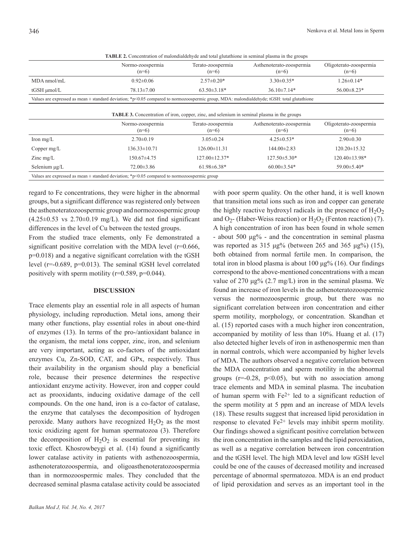|                                                                                                                                                 | Normo-zoospermia<br>$(n=6)$ | Terato-zoospermia<br>$(n=6)$ | Asthenoterato-zoospermia<br>$(n=6)$ | Oligoterato-zoospermia<br>$(n=6)$ |  |  |
|-------------------------------------------------------------------------------------------------------------------------------------------------|-----------------------------|------------------------------|-------------------------------------|-----------------------------------|--|--|
| MDA nmol/mL                                                                                                                                     | $0.92 \pm 0.06$             | $2.57 \pm 0.20*$             | $3.30\pm0.35*$                      | $1.26 \pm 0.14*$                  |  |  |
| tGSH µmol/L                                                                                                                                     | $78.13 \pm 7.00$            | $63.50 \pm 3.18*$            | $36.10\pm7.14*$                     | $56.00 \pm 8.23*$                 |  |  |
| Values are expressed as mean $\pm$ standard deviation; *p<0.05 compared to normozoospermic group, MDA: malondialdehyde; tGSH: total glutathione |                             |                              |                                     |                                   |  |  |
| <b>TABLE 3.</b> Concentration of iron, copper, zinc, and selenium in seminal plasma in the groups                                               |                             |                              |                                     |                                   |  |  |
|                                                                                                                                                 | Normo-zoospermia<br>$(n=6)$ | Terato-zoospermia<br>$(n=6)$ | Asthenoterato-zoospermia<br>$(n=6)$ | Oligoterato-zoospermia<br>$(n=6)$ |  |  |
| Iron $mg/L$                                                                                                                                     | $2.70 \pm 0.19$             | $3.05 \pm 0.24$              | $4.25 \pm 0.53*$                    | $2.90\pm0.30$                     |  |  |
|                                                                                                                                                 |                             |                              |                                     |                                   |  |  |
| Copper $mg/L$                                                                                                                                   | $136.33 \pm 10.71$          | $126.00 \pm 11.31$           | $144.00 \pm 2.83$                   | $120.20 \pm 15.32$                |  |  |
| Zinc $mg/L$                                                                                                                                     | $150.67\pm4.75$             | 127.00±12.37*                | $127.50 \pm 5.30*$                  | $120.40 \pm 13.98$ *              |  |  |

**TABLE 2.** Concentration of malondialdehyde and total glutathione in seminal plasma in the groups

Values are expressed as mean  $\pm$  standard deviation; \*p<0.05 compared to normozoospermic group

regard to Fe concentrations, they were higher in the abnormal groups, but a significant difference was registered only between the asthenoteratozoospermic group and normozoospermic group  $(4.25\pm0.53 \text{ vs } 2.70\pm0.19 \text{ mg/L})$ . We did not find significant differences in the level of Cu between the tested groups.

From the studied trace elements, only Fe demonstrated a significant positive correlation with the MDA level  $(r=0.666,$ p=0.018) and a negative significant correlation with the tGSH level (r=-0.689, p=0.013). The seminal tGSH level correlated positively with sperm motility (r=0.589, p=0.044).

# **DISCUSSION**

Trace elements play an essential role in all aspects of human physiology, including reproduction. Metal ions, among their many other functions, play essential roles in about one-third of enzymes (13). In terms of the pro-/antioxidant balance in the organism, the metal ions copper, zinc, iron, and selenium are very important, acting as co-factors of the antioxidant enzymes Cu, Zn-SOD, CAT, and GPx, respectively. Thus their availability in the organism should play a beneficial role, because their presence determines the respective antioxidant enzyme activity. However, iron and copper could act as prooxidants, inducing oxidative damage of the cell compounds. On the one hand, iron is a co-factor of catalase, the enzyme that catalyses the decomposition of hydrogen peroxide. Many authors have recognized  $H_2O_2$  as the most toxic oxidizing agent for human spermatozoa (3). Therefore the decomposition of  $H_2O_2$  is essential for preventing its toxic effect. Khosrowbeygi et al. (14) found a significantly lower catalase activity in patients with asthenozoospermia, asthenoteratozoospermia, and oligoasthenoteratozoospermia than in normozoospermic males. They concluded that the decreased seminal plasma catalase activity could be associated

with poor sperm quality. On the other hand, it is well known that trаnsition mеtal ions such as iron and copper can generate the highly reactive hydroxyl radicals in the presence of  $H_2O_2$ and  $O_2$ - (Haber-Weiss reaction) or  $H_2O_2$  (Fenton reaction) (7). A high concentration of iron has been found in whole semen - about 500 μg% - and the concentration in seminal plasma was reported as 315  $\mu$ g% (between 265 and 365  $\mu$ g%) (15), both obtained from normal fertile men. In comparison, the total iron in blood plasma is about 100 μg% (16). Our findings correspond to the above-mentioned concentrations with a mean value of 270 μg% (2.7 mg/L) iron in the seminal plasma. We found an increase of iron levels in the asthenoteratozoospermic versus the normozoospermic group, but there was no significant correlation between iron concentration and either sperm motility, morphology, or concentration. Skandhan et al. (15) reported cases with a much higher iron concentration, accompanied by motility of less than 10%. Huang et al. (17) also detected higher levels of iron in asthenospermic men than in normal controls, which were accompanied by higher levels of MDA. The authors observed a negative correlation between the MDA concentration and sperm motility in the abnormal groups  $(r=0.28, p<0.05)$ , but with no association among trace elements and MDA in seminal plasma. The incubation of human sperm with  $Fe<sup>2+</sup>$  led to a significant reduction of the sperm motility at 5 ppm and an increase of MDA levels (18). These results suggest that increased lipid peroxidation in response to elevated  $Fe<sup>2+</sup>$  levels may inhibit sperm motility. Our findings showed a significant positive correlation between the iron concentration in the samples and the lipid peroxidation, as well as a negative correlation between iron concentration and the tGSH level. The high MDA level and low tGSH level could be one of the causes of decreased motility and increased percentage of abnormal spermatozoa. MDA is an end product of lipid peroxidation and serves as an important tool in the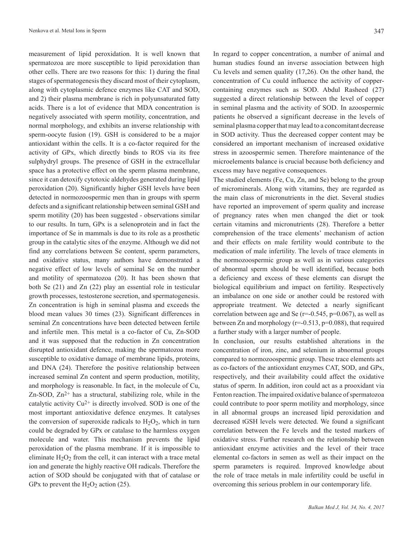measurement of lipid peroxidation. It is well known that spermatozoa are more susceptible to lipid peroxidation than other cells. There are two reasons for this: 1) during the final stages of spermatogenesis they discard most of their cytoplasm, along with cytoplasmic defence enzymes like CAT and SOD, and 2) their plasma membrane is rich in polyunsaturated fatty acids. There is a lot of evidence that MDA concentration is negatively associated with sperm motility, concentration, and normal morphology, and exhibits an inverse relationship with sperm-oocyte fusion (19). GSH is considered to be a major antioxidant within the cells. It is a co-factor required for the activity of GPx, which directly binds to ROS via its free sulphydryl groups. The presence of GSH in the extracellular space has a protective effect on the sperm plasma membrane, since it can detoxify cytotoxic aldehydes generated during lipid peroxidation (20). Significantly higher GSH levels have been detected in normozoospermic men than in groups with sperm defects and a significant relationship between seminal GSH and sperm motility (20) has been suggested - observations similar to our results. In turn, GPx is a selenoprotein and in fact the importance of Se in mammals is due to its role as a prosthetic group in the catalytic sites of the enzyme. Although we did not find any correlations between Se content, sperm parameters, and oxidative status, many authors have demonstrated a negative effect of low levels of seminal Se on the number and motility of spermatozoa (20). It has been shown that both Se (21) and Zn (22) play an essential role in testicular growth processes, testosterone secretion, and spermatogenesis. Zn concentration is high in seminal plasma and exceeds the blood mean values 30 times (23). Significant differences in seminal Zn concentrations have been detected between fertile and infertile men. This metal is a co-factor of Cu, Zn-SOD and it was supposed that the reduction in Zn concentration disrupted antioxidant defence, making the spermatozoa more susceptible to oxidative damage of membrane lipids, proteins, and DNA (24). Therefore the positive relationship between increased seminal Zn content and sperm production, motility, and morphology is reasonable. In fact, in the molecule of Cu,  $Zn-SOD$ ,  $Zn<sup>2+</sup>$  has a structural, stabilizing role, while in the catalytic activity  $Cu^{2+}$  is directly involved. SOD is one of the most important antioxidative defence enzymes. It catalyses the conversion of superoxide radicals to  $H_2O_2$ , which in turn could be degraded by GPx or catalase to the harmless oxygen molecule and water. This mechanism prevents the lipid peroxidation of the plasma membrane. If it is impossible to eliminate  $H_2O_2$  from the cell, it can interact with a trace metal ion and generate the highly reactive OH radicals. Therefore the action of SOD should be conjugated with that of catalase or GPx to prevent the  $H_2O_2$  action (25).

In regard to copper concentration, a number of animal and human studies found an inverse association between high Cu levels and semen quality (17,26). On the other hand, the concentration of Cu could influence the activity of coppercontaining enzymes such as SOD. Abdul Rasheed (27) suggested a direct relationship between the level of copper in seminal plasma and the activity of SOD. In azoospermic patients he observed a significant decrease in the levels of seminal plasma copper that may lead to a concomitant decrease in SOD activity. Thus the decreased copper content may be considered an important mechanism of increased oxidative stress in azoospermic semen. Therefore maintenance of the microelements balance is crucial because both deficiency and excess may have negative consequences.

The studied elements (Fe, Cu, Zn, and Se) belong to the group of microminerals. Along with vitamins, they are regarded as the main class of micronutrients in the diet. Several studies have reported an improvement of sperm quality and increase of pregnancy rates when men changed the diet or took certain vitamins and micronutrients (28). Therefore a better comprehension of the trace elements' mechanism of action and their effects on male fertility would contribute to the medication of male infertility. The levels of trace elements in the normozoospermic group as well as in various categories of abnormal sperm should be well identified, because both a deficiency and excess of these elements can disrupt the biological equilibrium and impact on fertility. Respectively an imbalance on one side or another could be restored with appropriate treatment. We detected a nearly significant correlation between age and Se ( $r=0.545$ ,  $p=0.067$ ), as well as between Zn and morphology ( $r=-0.513$ ,  $p=0.088$ ), that required a further study with a larger number of people.

In conclusion, our results established alterations in the concentration of iron, zinc, and selenium in abnormal groups compared to normozoospermic group. These trace elements act as co-factors of the antioxidant enzymes CAT, SOD, and GPx, respectively, and their availability could affect the oxidative status of sperm. In addition, iron could act as a prooxidant via Fenton reaction. The impaired oxidative balance of spermatozoa could contribute to poor sperm motility and morphology, since in all abnormal groups an increased lipid peroxidation and decreased tGSH levels were detected. We found a significant correlation between the Fe levels and the tested markers of oxidative stress. Further research on the relationship between antioxidant enzyme activities and the level of their trace elemental co-factors in semen as well as their impact on the sperm parameters is required. Improved knowledge about the role of trace metals in male infertility could be useful in overcoming this serious problem in our contemporary life.